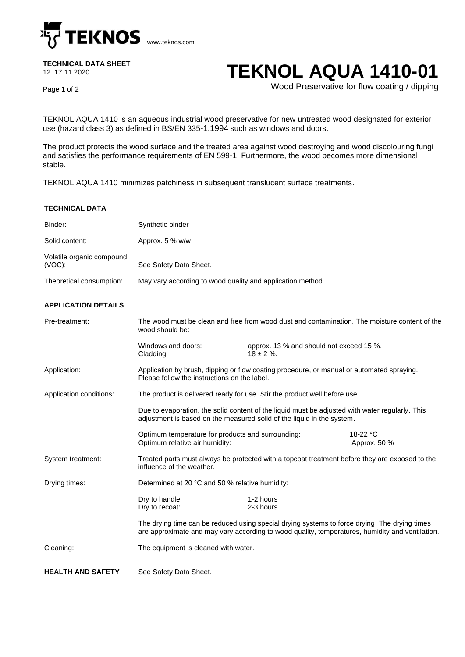

**TECHNICAL DATA SHEET** 12 17.11.2020

Page 1 of 2

## **TEKNOL AQUA 1410-01**

Wood Preservative for flow coating / dipping

TEKNOL AQUA 1410 is an aqueous industrial wood preservative for new untreated wood designated for exterior use (hazard class 3) as defined in BS/EN 335-1:1994 such as windows and doors.

The product protects the wood surface and the treated area against wood destroying and wood discolouring fungi and satisfies the performance requirements of EN 599-1. Furthermore, the wood becomes more dimensional stable.

TEKNOL AQUA 1410 minimizes patchiness in subsequent translucent surface treatments.

| TECHNICAL DATA                         |                                                                                                                                                                                                  |                                                             |                          |
|----------------------------------------|--------------------------------------------------------------------------------------------------------------------------------------------------------------------------------------------------|-------------------------------------------------------------|--------------------------|
| Binder:                                | Synthetic binder                                                                                                                                                                                 |                                                             |                          |
| Solid content:                         | Approx. 5 % w/w                                                                                                                                                                                  |                                                             |                          |
| Volatile organic compound<br>$(VOC)$ : | See Safety Data Sheet.                                                                                                                                                                           |                                                             |                          |
| Theoretical consumption:               | May vary according to wood quality and application method.                                                                                                                                       |                                                             |                          |
| <b>APPLICATION DETAILS</b>             |                                                                                                                                                                                                  |                                                             |                          |
| Pre-treatment:                         | The wood must be clean and free from wood dust and contamination. The moisture content of the<br>wood should be:                                                                                 |                                                             |                          |
|                                        | Windows and doors:<br>Cladding:                                                                                                                                                                  | approx. 13 % and should not exceed 15 %.<br>$18 \pm 2 \%$ . |                          |
| Application:                           | Application by brush, dipping or flow coating procedure, or manual or automated spraying.<br>Please follow the instructions on the label.                                                        |                                                             |                          |
| Application conditions:                | The product is delivered ready for use. Stir the product well before use.                                                                                                                        |                                                             |                          |
|                                        | Due to evaporation, the solid content of the liquid must be adjusted with water regularly. This<br>adjustment is based on the measured solid of the liquid in the system.                        |                                                             |                          |
|                                        | Optimum temperature for products and surrounding:<br>Optimum relative air humidity:                                                                                                              |                                                             | 18-22 °C<br>Approx. 50 % |
| System treatment:                      | Treated parts must always be protected with a topcoat treatment before they are exposed to the<br>influence of the weather.                                                                      |                                                             |                          |
| Drying times:                          | Determined at 20 °C and 50 % relative humidity:                                                                                                                                                  |                                                             |                          |
|                                        | Dry to handle:<br>Dry to recoat:                                                                                                                                                                 | 1-2 hours<br>2-3 hours                                      |                          |
|                                        | The drying time can be reduced using special drying systems to force drying. The drying times<br>are approximate and may vary according to wood quality, temperatures, humidity and ventilation. |                                                             |                          |
| Cleaning:                              | The equipment is cleaned with water.                                                                                                                                                             |                                                             |                          |
| <b>HEALTH AND SAFETY</b>               | See Safety Data Sheet.                                                                                                                                                                           |                                                             |                          |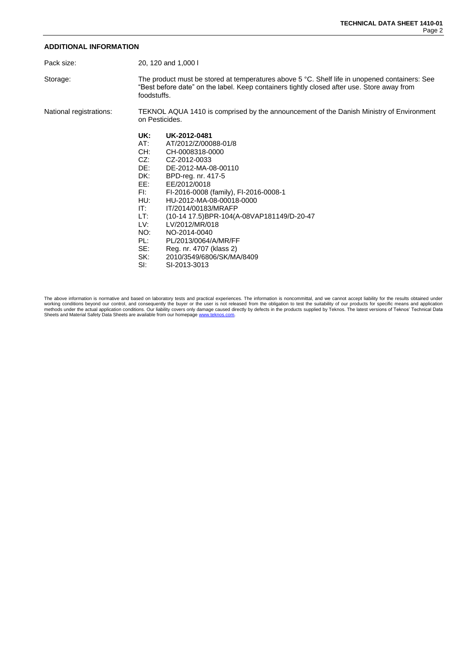## **ADDITIONAL INFORMATION**

| Pack size:              | 20, 120 and 1,000 l                                                                                                                                                                                        |                                                                                                                                                                                                                                                                                                                                                                                                                 |  |
|-------------------------|------------------------------------------------------------------------------------------------------------------------------------------------------------------------------------------------------------|-----------------------------------------------------------------------------------------------------------------------------------------------------------------------------------------------------------------------------------------------------------------------------------------------------------------------------------------------------------------------------------------------------------------|--|
| Storage:                | The product must be stored at temperatures above 5 °C. Shelf life in unopened containers: See<br>"Best before date" on the label. Keep containers tightly closed after use. Store away from<br>foodstuffs. |                                                                                                                                                                                                                                                                                                                                                                                                                 |  |
| National registrations: | TEKNOL AQUA 1410 is comprised by the announcement of the Danish Ministry of Environment<br>on Pesticides.                                                                                                  |                                                                                                                                                                                                                                                                                                                                                                                                                 |  |
|                         | UK:<br>AT:<br>CH:<br>CZ:<br>DE:<br>DK:<br>FF:<br>FI:<br>HU:<br>$\mathsf{I} \mathsf{T}$ :<br>LT:<br>LV:<br>NO:<br>PL:<br>SE:<br>SK:<br>SI:                                                                  | UK-2012-0481<br>AT/2012/Z/00088-01/8<br>CH-0008318-0000<br>CZ-2012-0033<br>DE-2012-MA-08-00110<br>BPD-reg. nr. 417-5<br>EE/2012/0018<br>FI-2016-0008 (family), FI-2016-0008-1<br>HU-2012-MA-08-00018-0000<br>IT/2014/00183/MRAFP<br>(10-14 17.5)BPR-104(A-08VAP181149/D-20-47<br>LV/2012/MR/018<br>NO-2014-0040<br>PL/2013/0064/A/MR/FF<br>Reg. nr. 4707 (klass 2)<br>2010/3549/6806/SK/MA/8409<br>SI-2013-3013 |  |

The above information is normative and based on laboratory tests and practical experiences. The information is noncommittal, and we cannot accept liability for the results obtained under<br>working conditions beyond our contr